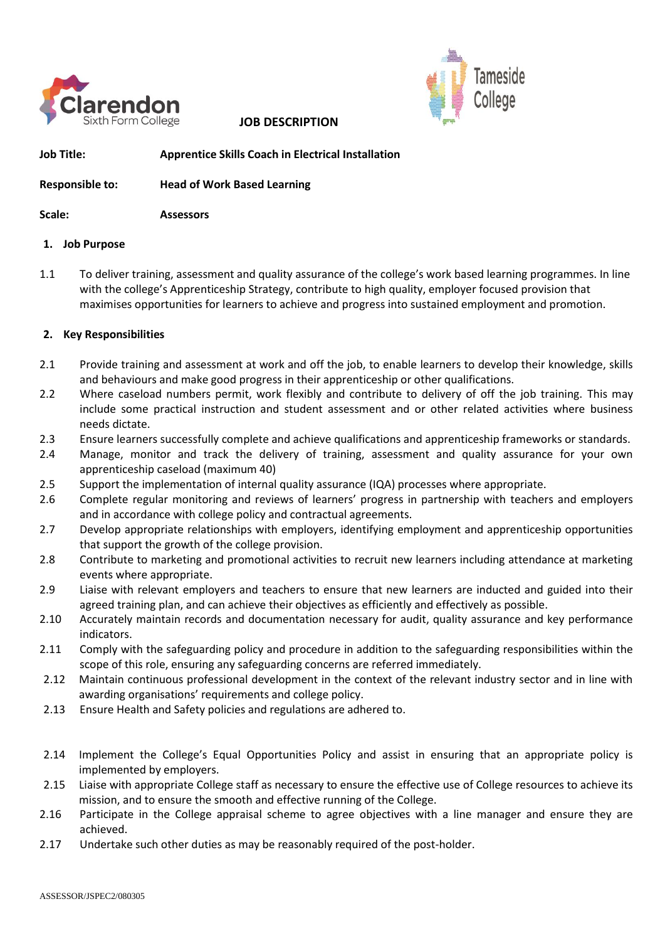

**JOB DESCRIPTION** 



**Job Title: Apprentice Skills Coach in Electrical Installation**

**Responsible to: Head of Work Based Learning**

**Scale: Assessors** 

# **1. Job Purpose**

1.1 To deliver training, assessment and quality assurance of the college's work based learning programmes. In line with the college's Apprenticeship Strategy, contribute to high quality, employer focused provision that maximises opportunities for learners to achieve and progress into sustained employment and promotion.

# **2. Key Responsibilities**

- 2.1 Provide training and assessment at work and off the job, to enable learners to develop their knowledge, skills and behaviours and make good progress in their apprenticeship or other qualifications.
- 2.2 Where caseload numbers permit, work flexibly and contribute to delivery of off the job training. This may include some practical instruction and student assessment and or other related activities where business needs dictate.
- 2.3 Ensure learners successfully complete and achieve qualifications and apprenticeship frameworks or standards.
- 2.4 Manage, monitor and track the delivery of training, assessment and quality assurance for your own apprenticeship caseload (maximum 40)
- 2.5 Support the implementation of internal quality assurance (IQA) processes where appropriate.
- 2.6 Complete regular monitoring and reviews of learners' progress in partnership with teachers and employers and in accordance with college policy and contractual agreements.
- 2.7 Develop appropriate relationships with employers, identifying employment and apprenticeship opportunities that support the growth of the college provision.
- 2.8 Contribute to marketing and promotional activities to recruit new learners including attendance at marketing events where appropriate.
- 2.9 Liaise with relevant employers and teachers to ensure that new learners are inducted and guided into their agreed training plan, and can achieve their objectives as efficiently and effectively as possible.
- 2.10 Accurately maintain records and documentation necessary for audit, quality assurance and key performance indicators.
- 2.11 Comply with the safeguarding policy and procedure in addition to the safeguarding responsibilities within the scope of this role, ensuring any safeguarding concerns are referred immediately.
- 2.12 Maintain continuous professional development in the context of the relevant industry sector and in line with awarding organisations' requirements and college policy.
- 2.13 Ensure Health and Safety policies and regulations are adhered to.
- 2.14 Implement the College's Equal Opportunities Policy and assist in ensuring that an appropriate policy is implemented by employers.
- 2.15 Liaise with appropriate College staff as necessary to ensure the effective use of College resources to achieve its mission, and to ensure the smooth and effective running of the College.
- 2.16 Participate in the College appraisal scheme to agree objectives with a line manager and ensure they are achieved.
- 2.17 Undertake such other duties as may be reasonably required of the post-holder.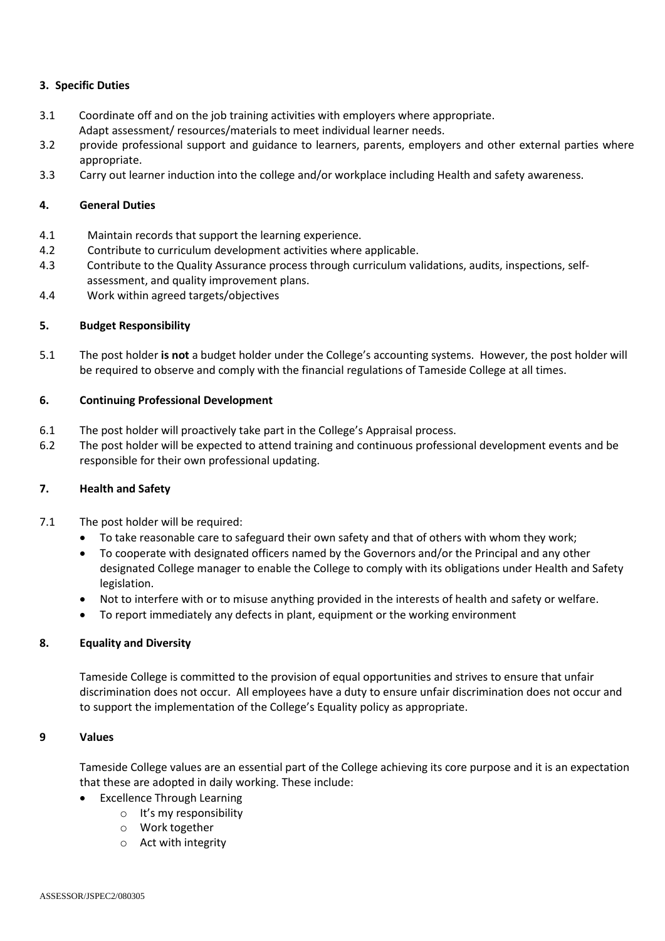# **3. Specific Duties**

- 3.1 Coordinate off and on the job training activities with employers where appropriate. Adapt assessment/ resources/materials to meet individual learner needs.
- 3.2 provide professional support and guidance to learners, parents, employers and other external parties where appropriate.
- 3.3 Carry out learner induction into the college and/or workplace including Health and safety awareness.

#### **4. General Duties**

- 4.1 Maintain records that support the learning experience.
- 4.2 Contribute to curriculum development activities where applicable.
- 4.3 Contribute to the Quality Assurance process through curriculum validations, audits, inspections, selfassessment, and quality improvement plans.
- 4.4 Work within agreed targets/objectives

# **5. Budget Responsibility**

5.1 The post holder **is not** a budget holder under the College's accounting systems. However, the post holder will be required to observe and comply with the financial regulations of Tameside College at all times.

#### **6. Continuing Professional Development**

- 6.1 The post holder will proactively take part in the College's Appraisal process.
- 6.2 The post holder will be expected to attend training and continuous professional development events and be responsible for their own professional updating.

#### **7. Health and Safety**

- 7.1 The post holder will be required:
	- To take reasonable care to safeguard their own safety and that of others with whom they work;
	- To cooperate with designated officers named by the Governors and/or the Principal and any other designated College manager to enable the College to comply with its obligations under Health and Safety legislation.
	- Not to interfere with or to misuse anything provided in the interests of health and safety or welfare.
	- To report immediately any defects in plant, equipment or the working environment

#### **8. Equality and Diversity**

Tameside College is committed to the provision of equal opportunities and strives to ensure that unfair discrimination does not occur. All employees have a duty to ensure unfair discrimination does not occur and to support the implementation of the College's Equality policy as appropriate.

#### **9 Values**

Tameside College values are an essential part of the College achieving its core purpose and it is an expectation that these are adopted in daily working. These include:

- **Excellence Through Learning** 
	- o It's my responsibility
	- o Work together
	- o Act with integrity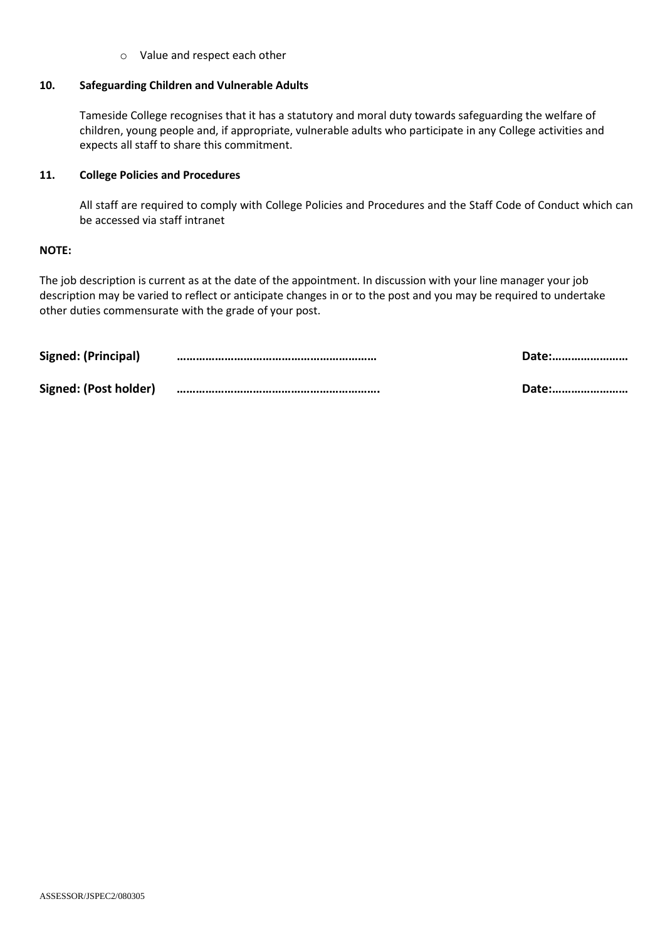o Value and respect each other

#### **10. Safeguarding Children and Vulnerable Adults**

Tameside College recognises that it has a statutory and moral duty towards safeguarding the welfare of children, young people and, if appropriate, vulnerable adults who participate in any College activities and expects all staff to share this commitment.

#### **11. College Policies and Procedures**

All staff are required to comply with College Policies and Procedures and the Staff Code of Conduct which can be accessed via staff intranet

#### **NOTE:**

The job description is current as at the date of the appointment. In discussion with your line manager your job description may be varied to reflect or anticipate changes in or to the post and you may be required to undertake other duties commensurate with the grade of your post.

| Signed: (Principal)   | Date: |
|-----------------------|-------|
| Signed: (Post holder) | Date: |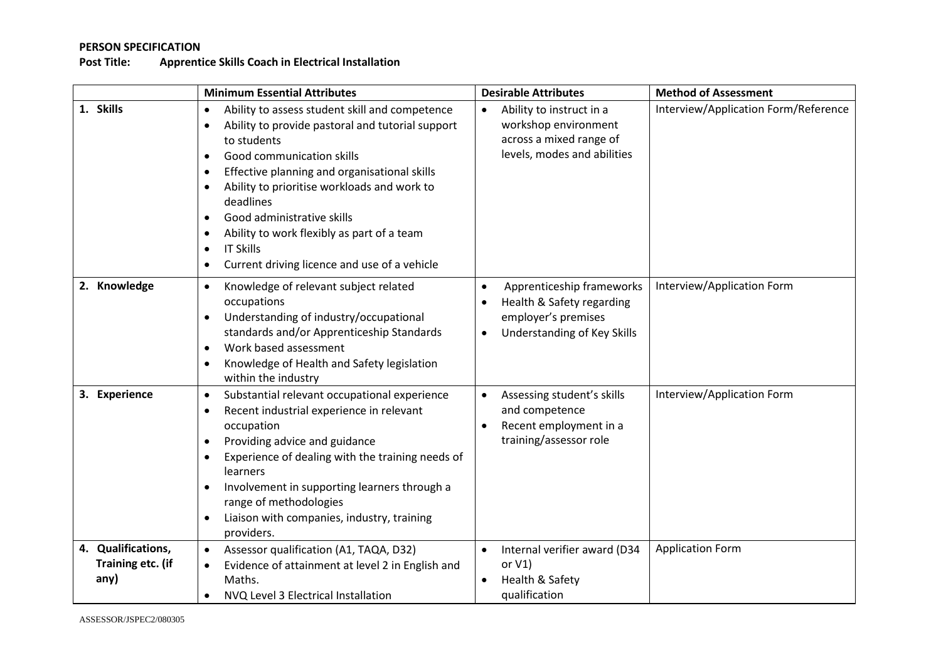# **PERSON SPECIFICATION**

# **Post Title: Apprentice Skills Coach in Electrical Installation**

|                                                 | <b>Minimum Essential Attributes</b>                                                                                                                                                                                                                                                                                                                                                                                                                                                                   | <b>Desirable Attributes</b>                                                                                                                                | <b>Method of Assessment</b>          |
|-------------------------------------------------|-------------------------------------------------------------------------------------------------------------------------------------------------------------------------------------------------------------------------------------------------------------------------------------------------------------------------------------------------------------------------------------------------------------------------------------------------------------------------------------------------------|------------------------------------------------------------------------------------------------------------------------------------------------------------|--------------------------------------|
| 1. Skills                                       | Ability to assess student skill and competence<br>$\bullet$<br>Ability to provide pastoral and tutorial support<br>to students<br>Good communication skills<br>$\bullet$<br>Effective planning and organisational skills<br>$\bullet$<br>Ability to prioritise workloads and work to<br>deadlines<br>Good administrative skills<br>$\bullet$<br>Ability to work flexibly as part of a team<br>$\bullet$<br><b>IT Skills</b><br>$\bullet$<br>Current driving licence and use of a vehicle<br>$\bullet$ | Ability to instruct in a<br>workshop environment<br>across a mixed range of<br>levels, modes and abilities                                                 | Interview/Application Form/Reference |
| 2. Knowledge                                    | Knowledge of relevant subject related<br>$\bullet$<br>occupations<br>Understanding of industry/occupational<br>$\bullet$<br>standards and/or Apprenticeship Standards<br>Work based assessment<br>Knowledge of Health and Safety legislation<br>$\bullet$<br>within the industry                                                                                                                                                                                                                      | Apprenticeship frameworks<br>$\bullet$<br>Health & Safety regarding<br>$\bullet$<br>employer's premises<br><b>Understanding of Key Skills</b><br>$\bullet$ | Interview/Application Form           |
| 3. Experience                                   | Substantial relevant occupational experience<br>$\bullet$<br>Recent industrial experience in relevant<br>$\bullet$<br>occupation<br>Providing advice and guidance<br>$\bullet$<br>Experience of dealing with the training needs of<br>learners<br>Involvement in supporting learners through a<br>range of methodologies<br>Liaison with companies, industry, training<br>$\bullet$<br>providers.                                                                                                     | Assessing student's skills<br>and competence<br>Recent employment in a<br>training/assessor role                                                           | Interview/Application Form           |
| 4. Qualifications,<br>Training etc. (if<br>any) | Assessor qualification (A1, TAQA, D32)<br>$\bullet$<br>Evidence of attainment at level 2 in English and<br>$\bullet$<br>Maths.<br>NVQ Level 3 Electrical Installation<br>$\bullet$                                                                                                                                                                                                                                                                                                                    | Internal verifier award (D34<br>or $V1$ )<br>Health & Safety<br>$\bullet$<br>qualification                                                                 | <b>Application Form</b>              |